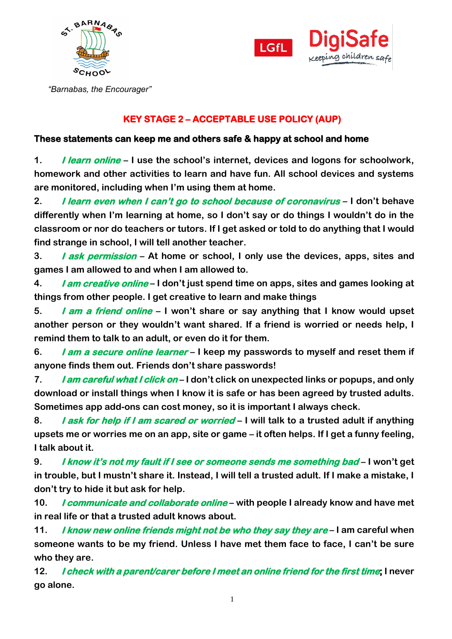



 *"Barnabas, the Encourager"*

## **KEY STAGE 2 – ACCEPTABLE USE POLICY (AUP)**

## **These statements can keep me and others safe & happy at school and home**

**1. I learn online – I use the school's internet, devices and logons for schoolwork, homework and other activities to learn and have fun. All school devices and systems are monitored, including when I'm using them at home.** 

**2. I learn even when I can't go to school because of coronavirus – I don't behave differently when I'm learning at home, so I don't say or do things I wouldn't do in the classroom or nor do teachers or tutors. If I get asked or told to do anything that I would find strange in school, I will tell another teacher.**

**3. I ask permission – At home or school, I only use the devices, apps, sites and games I am allowed to and when I am allowed to.**

**4. I am creative online – I don't just spend time on apps, sites and games looking at things from other people. I get creative to learn and make things**

**5. I am a friend online – I won't share or say anything that I know would upset another person or they wouldn't want shared. If a friend is worried or needs help, I remind them to talk to an adult, or even do it for them.**

**6. I am a secure online learner – I keep my passwords to myself and reset them if anyone finds them out. Friends don't share passwords!**

**7. I am careful what I click on – I don't click on unexpected links or popups, and only download or install things when I know it is safe or has been agreed by trusted adults. Sometimes app add-ons can cost money, so it is important I always check.**

**8. I ask for help if I am scared or worried – I will talk to a trusted adult if anything upsets me or worries me on an app, site or game – it often helps. If I get a funny feeling, I talk about it.** 

**9. I know it's not my fault if I see or someone sends me something bad – I won't get in trouble, but I mustn't share it. Instead, I will tell a trusted adult. If I make a mistake, I don't try to hide it but ask for help.**

**10. I communicate and collaborate online – with people I already know and have met in real life or that a trusted adult knows about.**

**11. I know new online friends might not be who they say they are – I am careful when someone wants to be my friend. Unless I have met them face to face, I can't be sure who they are.** 

**12. I check with a parent/carer before I meet an online friend for the first time; I never go alone.**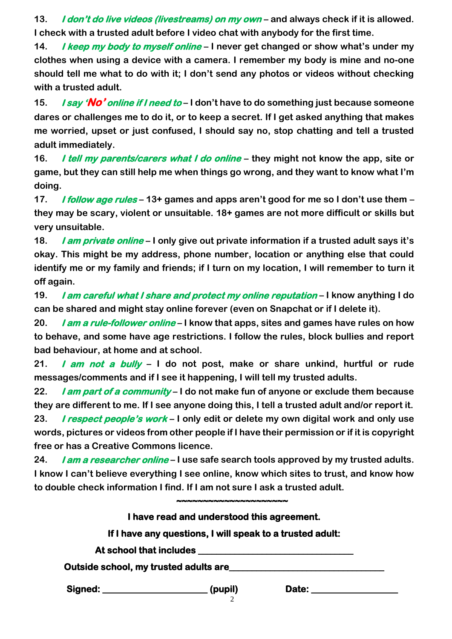**13. I don't do live videos (livestreams) on my own – and always check if it is allowed. I check with a trusted adult before I video chat with anybody for the first time.** 

**14. I keep my body to myself online – I never get changed or show what's under my clothes when using a device with a camera. I remember my body is mine and no-one should tell me what to do with it; I don't send any photos or videos without checking with a trusted adult.**

**15. I say 'No' online if I need to – I don't have to do something just because someone dares or challenges me to do it, or to keep a secret. If I get asked anything that makes me worried, upset or just confused, I should say no, stop chatting and tell a trusted adult immediately.** 

**16. I tell my parents/carers what I do online – they might not know the app, site or game, but they can still help me when things go wrong, and they want to know what I'm doing.**

**17. I follow age rules – 13+ games and apps aren't good for me so I don't use them – they may be scary, violent or unsuitable. 18+ games are not more difficult or skills but very unsuitable.**

**18. I am private online – I only give out private information if a trusted adult says it's okay. This might be my address, phone number, location or anything else that could identify me or my family and friends; if I turn on my location, I will remember to turn it off again.**

**19. I am careful what I share and protect my online reputation – I know anything I do can be shared and might stay online forever (even on Snapchat or if I delete it).**

**20. I am a rule-follower online – I know that apps, sites and games have rules on how to behave, and some have age restrictions. I follow the rules, block bullies and report bad behaviour, at home and at school.**

**21. I am not a bully – I do not post, make or share unkind, hurtful or rude messages/comments and if I see it happening, I will tell my trusted adults.**

**22. I am part of a community – I do not make fun of anyone or exclude them because they are different to me. If I see anyone doing this, I tell a trusted adult and/or report it.**

**23. I respect people's work – I only edit or delete my own digital work and only use words, pictures or videos from other people if I have their permission or if it is copyright free or has a Creative Commons licence.** 

**24. I am a researcher online – I use safe search tools approved by my trusted adults. I know I can't believe everything I see online, know which sites to trust, and know how to double check information I find. If I am not sure I ask a trusted adult.**

|                                       | I have read and understood this agreement.                |       |  |
|---------------------------------------|-----------------------------------------------------------|-------|--|
|                                       | If I have any questions, I will speak to a trusted adult: |       |  |
|                                       |                                                           |       |  |
| Outside school, my trusted adults are |                                                           |       |  |
| Signed: ________________________      | (pupil)                                                   | Date: |  |